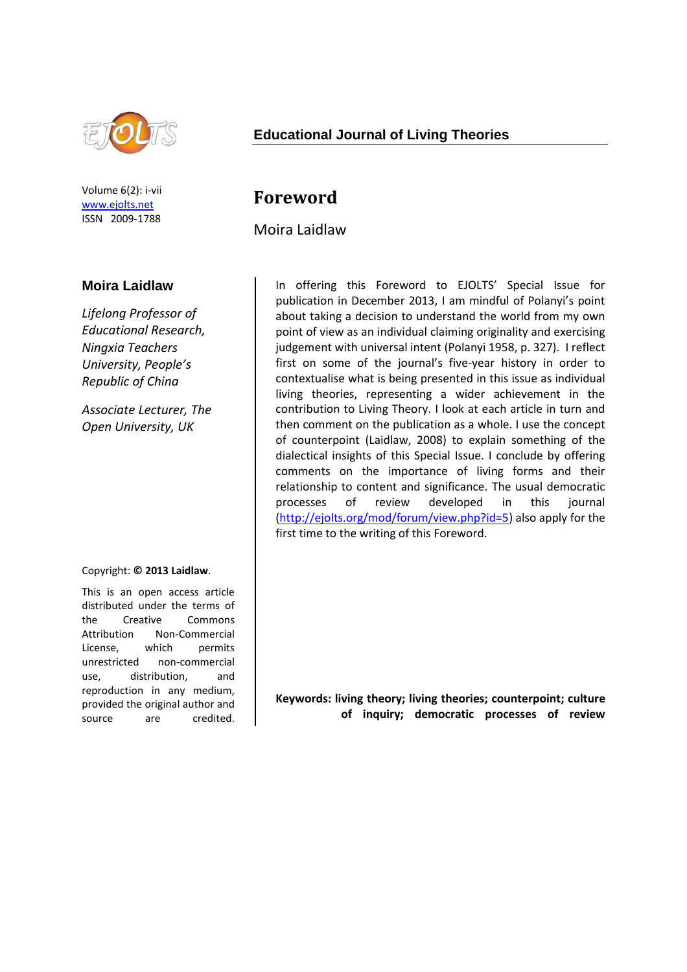

Volume 6(2): i-vii [www.ejolts.net](http://www.ejolts.net/) ISSN 2009-1788

#### **Moira Laidlaw**

*Lifelong Professor of Educational Research, Ningxia Teachers University, People's Republic of China*

*Associate Lecturer, The Open University, UK*

#### Copyright: **© 2013 Laidlaw**.

This is an open access article distributed under the terms of the Creative Commons Attribution Non-Commercial License, which permits unrestricted non-commercial use, distribution, and reproduction in any medium, provided the original author and source are credited.

#### **Educational Journal of Living Theories**

# **Foreword**

Moira Laidlaw

In offering this Foreword to EJOLTS' Special Issue for publication in December 2013, I am mindful of Polanyi's point about taking a decision to understand the world from my own point of view as an individual claiming originality and exercising judgement with universal intent (Polanyi 1958, p. 327). I reflect first on some of the journal's five-year history in order to contextualise what is being presented in this issue as individual living theories, representing a wider achievement in the contribution to Living Theory. I look at each article in turn and then comment on the publication as a whole. I use the concept of counterpoint (Laidlaw, 2008) to explain something of the dialectical insights of this Special Issue. I conclude by offering comments on the importance of living forms and their relationship to content and significance. The usual democratic processes of review developed in this journal [\(http://ejolts.org/mod/forum/view.php?id=5\)](http://ejolts.org/mod/forum/view.php?id=5) also apply for the first time to the writing of this Foreword.

**Keywords: living theory; living theories; counterpoint; culture of inquiry; democratic processes of review**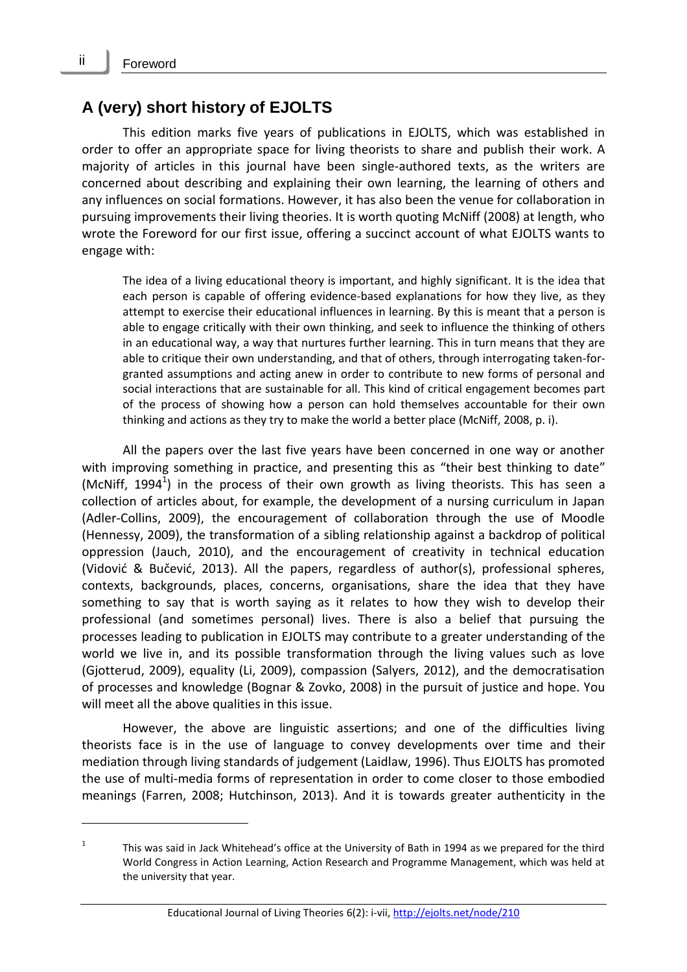### **A (very) short history of EJOLTS**

This edition marks five years of publications in EJOLTS, which was established in order to offer an appropriate space for living theorists to share and publish their work. A majority of articles in this journal have been single-authored texts, as the writers are concerned about describing and explaining their own learning, the learning of others and any influences on social formations. However, it has also been the venue for collaboration in pursuing improvements their living theories. It is worth quoting McNiff (2008) at length, who wrote the Foreword for our first issue, offering a succinct account of what EJOLTS wants to engage with:

The idea of a living educational theory is important, and highly significant. It is the idea that each person is capable of offering evidence-based explanations for how they live, as they attempt to exercise their educational influences in learning. By this is meant that a person is able to engage critically with their own thinking, and seek to influence the thinking of others in an educational way, a way that nurtures further learning. This in turn means that they are able to critique their own understanding, and that of others, through interrogating taken-forgranted assumptions and acting anew in order to contribute to new forms of personal and social interactions that are sustainable for all. This kind of critical engagement becomes part of the process of showing how a person can hold themselves accountable for their own thinking and actions as they try to make the world a better place (McNiff, 2008, p. i).

All the papers over the last five years have been concerned in one way or another with improving something in practice, and presenting this as "their best thinking to date" (McNiff, 1994<sup>1</sup>) in the process of their own growth as living theorists. This has seen a collection of articles about, for example, the development of a nursing curriculum in Japan (Adler-Collins, 2009), the encouragement of collaboration through the use of Moodle (Hennessy, 2009), the transformation of a sibling relationship against a backdrop of political oppression (Jauch, 2010), and the encouragement of creativity in technical education (Vidović & Bučević, 2013). All the papers, regardless of author(s), professional spheres, contexts, backgrounds, places, concerns, organisations, share the idea that they have something to say that is worth saying as it relates to how they wish to develop their professional (and sometimes personal) lives. There is also a belief that pursuing the processes leading to publication in EJOLTS may contribute to a greater understanding of the world we live in, and its possible transformation through the living values such as love (Gjotterud, 2009), equality (Li, 2009), compassion (Salyers, 2012), and the democratisation of processes and knowledge (Bognar & Zovko, 2008) in the pursuit of justice and hope. You will meet all the above qualities in this issue.

However, the above are linguistic assertions; and one of the difficulties living theorists face is in the use of language to convey developments over time and their mediation through living standards of judgement (Laidlaw, 1996). Thus EJOLTS has promoted the use of multi-media forms of representation in order to come closer to those embodied meanings (Farren, 2008; Hutchinson, 2013). And it is towards greater authenticity in the

<sup>1</sup> This was said in Jack Whitehead's office at the University of Bath in 1994 as we prepared for the third World Congress in Action Learning, Action Research and Programme Management, which was held at the university that year.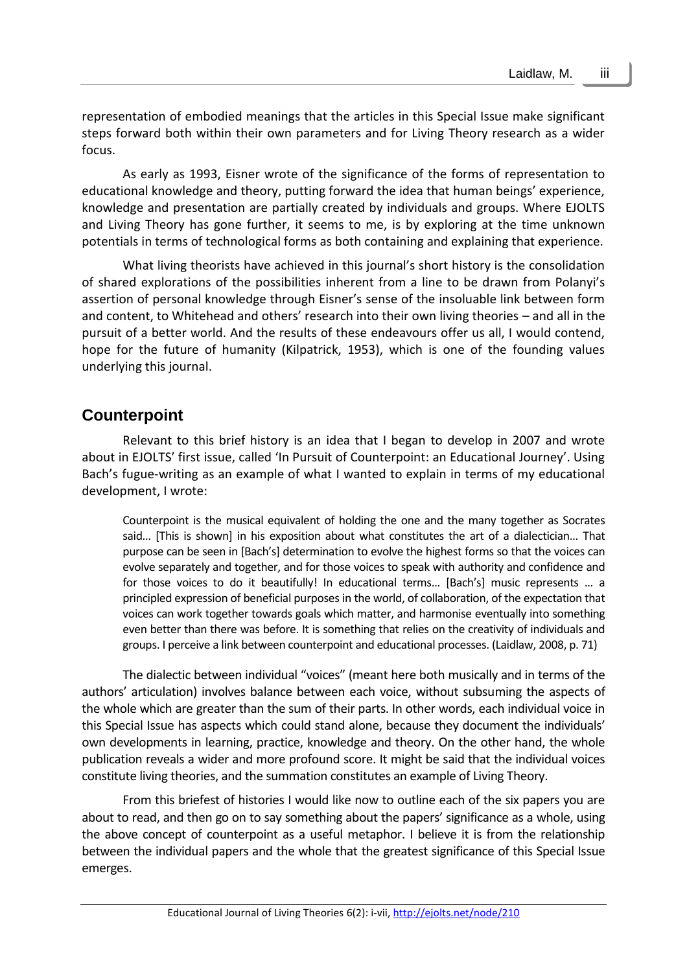representation of embodied meanings that the articles in this Special Issue make significant steps forward both within their own parameters and for Living Theory research as a wider focus.

As early as 1993, Eisner wrote of the significance of the forms of representation to educational knowledge and theory, putting forward the idea that human beings' experience, knowledge and presentation are partially created by individuals and groups. Where EJOLTS and Living Theory has gone further, it seems to me, is by exploring at the time unknown potentials in terms of technological forms as both containing and explaining that experience.

What living theorists have achieved in this journal's short history is the consolidation of shared explorations of the possibilities inherent from a line to be drawn from Polanyi's assertion of personal knowledge through Eisner's sense of the insoluable link between form and content, to Whitehead and others' research into their own living theories – and all in the pursuit of a better world. And the results of these endeavours offer us all, I would contend, hope for the future of humanity (Kilpatrick, 1953), which is one of the founding values underlying this journal.

#### **Counterpoint**

Relevant to this brief history is an idea that I began to develop in 2007 and wrote about in EJOLTS' first issue, called 'In Pursuit of Counterpoint: an Educational Journey'. Using Bach's fugue-writing as an example of what I wanted to explain in terms of my educational development, I wrote:

Counterpoint is the musical equivalent of holding the one and the many together as Socrates said… [This is shown] in his exposition about what constitutes the art of a dialectician… That purpose can be seen in [Bach's] determination to evolve the highest forms so that the voices can evolve separately and together, and for those voices to speak with authority and confidence and for those voices to do it beautifully! In educational terms… [Bach's] music represents … a principled expression of beneficial purposes in the world, of collaboration, of the expectation that voices can work together towards goals which matter, and harmonise eventually into something even better than there was before. It is something that relies on the creativity of individuals and groups. I perceive a link between counterpoint and educational processes. (Laidlaw, 2008, p. 71)

The dialectic between individual "voices" (meant here both musically and in terms of the authors' articulation) involves balance between each voice, without subsuming the aspects of the whole which are greater than the sum of their parts. In other words, each individual voice in this Special Issue has aspects which could stand alone, because they document the individuals' own developments in learning, practice, knowledge and theory. On the other hand, the whole publication reveals a wider and more profound score. It might be said that the individual voices constitute living theories, and the summation constitutes an example of Living Theory.

From this briefest of histories I would like now to outline each of the six papers you are about to read, and then go on to say something about the papers' significance as a whole, using the above concept of counterpoint as a useful metaphor. I believe it is from the relationship between the individual papers and the whole that the greatest significance of this Special Issue emerges.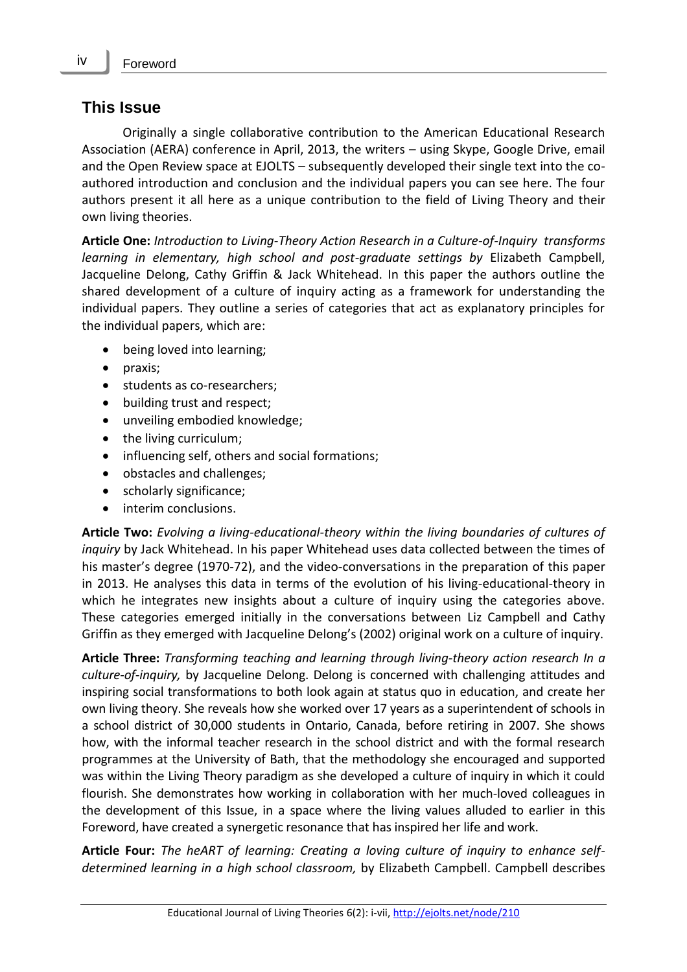#### **This Issue**

Originally a single collaborative contribution to the American Educational Research Association (AERA) conference in April, 2013, the writers – using Skype, Google Drive, email and the Open Review space at EJOLTS – subsequently developed their single text into the coauthored introduction and conclusion and the individual papers you can see here. The four authors present it all here as a unique contribution to the field of Living Theory and their own living theories.

**Article One:** *Introduction to Living-Theory Action Research in a Culture-of-Inquiry transforms learning in elementary, high school and post-graduate settings by* Elizabeth Campbell, Jacqueline Delong, Cathy Griffin & Jack Whitehead. In this paper the authors outline the shared development of a culture of inquiry acting as a framework for understanding the individual papers. They outline a series of categories that act as explanatory principles for the individual papers, which are:

- being loved into learning;
- praxis;
- students as co-researchers;
- building trust and respect;
- unveiling embodied knowledge;
- the living curriculum;
- influencing self, others and social formations;
- obstacles and challenges;
- scholarly significance;
- interim conclusions.

**Article Two:** *Evolving a living-educational-theory within the living boundaries of cultures of inquiry* by Jack Whitehead. In his paper Whitehead uses data collected between the times of his master's degree (1970-72), and the video-conversations in the preparation of this paper in 2013. He analyses this data in terms of the evolution of his living-educational-theory in which he integrates new insights about a culture of inquiry using the categories above. These categories emerged initially in the conversations between Liz Campbell and Cathy Griffin as they emerged with Jacqueline Delong's (2002) original work on a culture of inquiry.

**Article Three:** *Transforming teaching and learning through living-theory action research In a culture-of-inquiry,* by Jacqueline Delong. Delong is concerned with challenging attitudes and inspiring social transformations to both look again at status quo in education, and create her own living theory. She reveals how she worked over 17 years as a superintendent of schools in a school district of 30,000 students in Ontario, Canada, before retiring in 2007. She shows how, with the informal teacher research in the school district and with the formal research programmes at the University of Bath, that the methodology she encouraged and supported was within the Living Theory paradigm as she developed a culture of inquiry in which it could flourish. She demonstrates how working in collaboration with her much-loved colleagues in the development of this Issue, in a space where the living values alluded to earlier in this Foreword, have created a synergetic resonance that has inspired her life and work.

**Article Four:** *The heART of learning: Creating a loving culture of inquiry to enhance selfdetermined learning in a high school classroom,* by Elizabeth Campbell. Campbell describes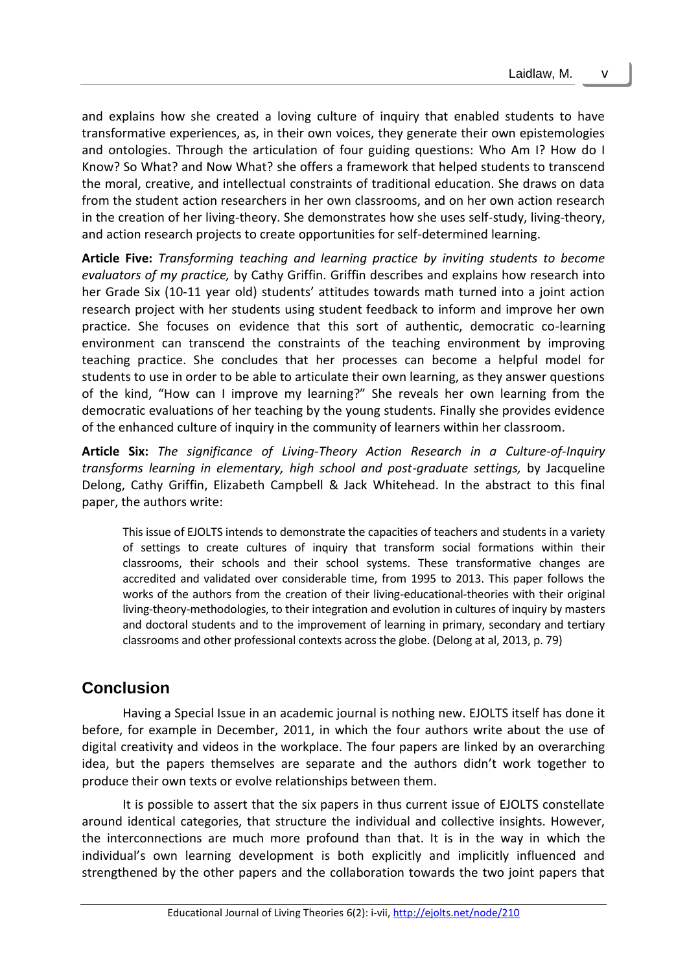and explains how she created a loving culture of inquiry that enabled students to have transformative experiences, as, in their own voices, they generate their own epistemologies and ontologies. Through the articulation of four guiding questions: Who Am I? How do I Know? So What? and Now What? she offers a framework that helped students to transcend the moral, creative, and intellectual constraints of traditional education. She draws on data from the student action researchers in her own classrooms, and on her own action research in the creation of her living-theory. She demonstrates how she uses self-study, living-theory, and action research projects to create opportunities for self-determined learning.

**Article Five:** *Transforming teaching and learning practice by inviting students to become evaluators of my practice,* by Cathy Griffin. Griffin describes and explains how research into her Grade Six (10-11 year old) students' attitudes towards math turned into a joint action research project with her students using student feedback to inform and improve her own practice. She focuses on evidence that this sort of authentic, democratic co-learning environment can transcend the constraints of the teaching environment by improving teaching practice. She concludes that her processes can become a helpful model for students to use in order to be able to articulate their own learning, as they answer questions of the kind, "How can I improve my learning?" She reveals her own learning from the democratic evaluations of her teaching by the young students. Finally she provides evidence of the enhanced culture of inquiry in the community of learners within her classroom.

**Article Six:** *The significance of Living-Theory Action Research in a Culture-of-Inquiry transforms learning in elementary, high school and post-graduate settings,* by Jacqueline Delong, Cathy Griffin, Elizabeth Campbell & Jack Whitehead. In the abstract to this final paper, the authors write:

This issue of EJOLTS intends to demonstrate the capacities of teachers and students in a variety of settings to create cultures of inquiry that transform social formations within their classrooms, their schools and their school systems. These transformative changes are accredited and validated over considerable time, from 1995 to 2013. This paper follows the works of the authors from the creation of their living-educational-theories with their original living-theory-methodologies, to their integration and evolution in cultures of inquiry by masters and doctoral students and to the improvement of learning in primary, secondary and tertiary classrooms and other professional contexts across the globe. (Delong at al, 2013, p. 79)

## **Conclusion**

Having a Special Issue in an academic journal is nothing new. EJOLTS itself has done it before, for example in December, 2011, in which the four authors write about the use of digital creativity and videos in the workplace. The four papers are linked by an overarching idea, but the papers themselves are separate and the authors didn't work together to produce their own texts or evolve relationships between them.

It is possible to assert that the six papers in thus current issue of EJOLTS constellate around identical categories, that structure the individual and collective insights. However, the interconnections are much more profound than that. It is in the way in which the individual's own learning development is both explicitly and implicitly influenced and strengthened by the other papers and the collaboration towards the two joint papers that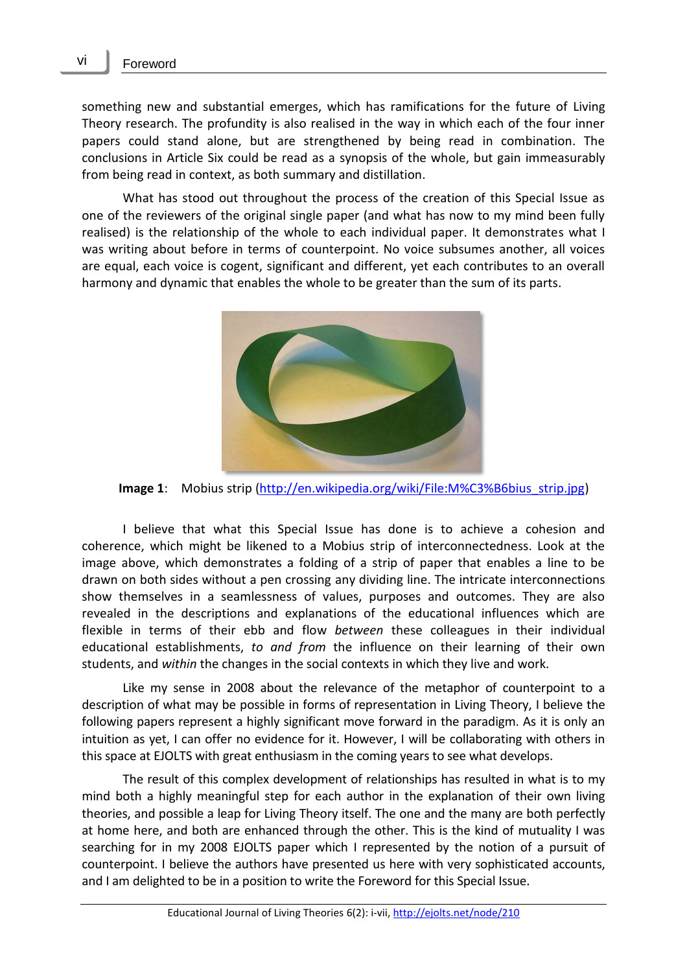something new and substantial emerges, which has ramifications for the future of Living Theory research. The profundity is also realised in the way in which each of the four inner papers could stand alone, but are strengthened by being read in combination. The conclusions in Article Six could be read as a synopsis of the whole, but gain immeasurably from being read in context, as both summary and distillation.

What has stood out throughout the process of the creation of this Special Issue as one of the reviewers of the original single paper (and what has now to my mind been fully realised) is the relationship of the whole to each individual paper. It demonstrates what I was writing about before in terms of counterpoint. No voice subsumes another, all voices are equal, each voice is cogent, significant and different, yet each contributes to an overall harmony and dynamic that enables the whole to be greater than the sum of its parts.



**Image 1**: Mobius strip [\(http://en.wikipedia.org/wiki/File:M%C3%B6bius\\_strip.jpg\)](http://en.wikipedia.org/wiki/File:M%C3%B6bius_strip.jpg)

I believe that what this Special Issue has done is to achieve a cohesion and coherence, which might be likened to a Mobius strip of interconnectedness. Look at the image above, which demonstrates a folding of a strip of paper that enables a line to be drawn on both sides without a pen crossing any dividing line. The intricate interconnections show themselves in a seamlessness of values, purposes and outcomes. They are also revealed in the descriptions and explanations of the educational influences which are flexible in terms of their ebb and flow *between* these colleagues in their individual educational establishments, *to and from* the influence on their learning of their own students, and *within* the changes in the social contexts in which they live and work.

Like my sense in 2008 about the relevance of the metaphor of counterpoint to a description of what may be possible in forms of representation in Living Theory, I believe the following papers represent a highly significant move forward in the paradigm. As it is only an intuition as yet, I can offer no evidence for it. However, I will be collaborating with others in this space at EJOLTS with great enthusiasm in the coming years to see what develops.

The result of this complex development of relationships has resulted in what is to my mind both a highly meaningful step for each author in the explanation of their own living theories, and possible a leap for Living Theory itself. The one and the many are both perfectly at home here, and both are enhanced through the other. This is the kind of mutuality I was searching for in my 2008 EJOLTS paper which I represented by the notion of a pursuit of counterpoint. I believe the authors have presented us here with very sophisticated accounts, and I am delighted to be in a position to write the Foreword for this Special Issue.